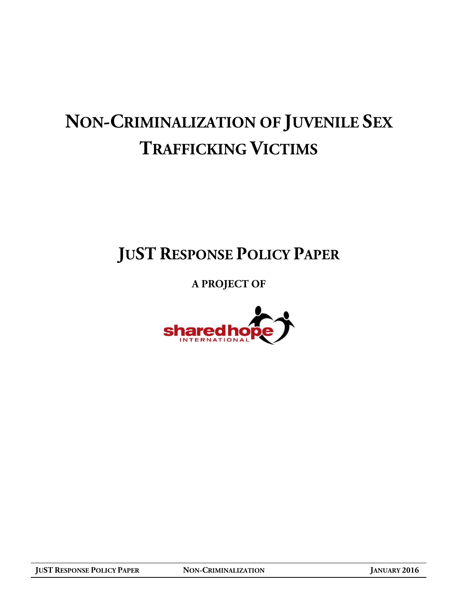# **NON-CRIMINALIZATION OF JUVENILE SEX TRAFFICKING VICTIMS**

## **JUST RESPONSE POLICY PAPER**

### **A PROJECT OF**

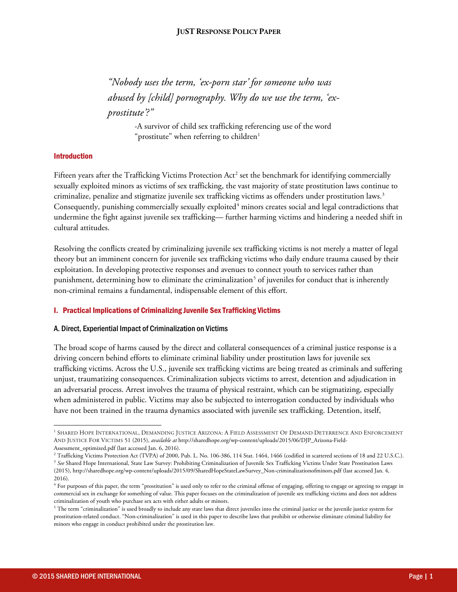*"Nobody uses the term, 'ex-porn star' for someone who was abused by [child] pornography. Why do we use the term, 'exprostitute'?"*

> <span id="page-1-6"></span><span id="page-1-5"></span>-A survivor of child sex trafficking referencing use of the word "prostitute" when referring to children $1$

#### Introduction

Fifteen years after the Trafficking Victims Protection Act<sup>[2](#page-1-1)</sup> set the benchmark for identifying commercially sexually exploited minors as victims of sex trafficking, the vast majority of state prostitution laws continue to criminalize, penalize and stigmatize juvenile sex trafficking victims as offenders under prostitution laws.[3](#page-1-2) Consequently, punishing commercially sexually exploited<sup>[4](#page-1-3)</sup> minors creates social and legal contradictions that undermine the fight against juvenile sex trafficking— further harming victims and hindering a needed shift in cultural attitudes.

Resolving the conflicts created by criminalizing juvenile sex trafficking victims is not merely a matter of legal theory but an imminent concern for juvenile sex trafficking victims who daily endure trauma caused by their exploitation. In developing protective responses and avenues to connect youth to services rather than punishment, determining how to eliminate the criminalization<sup>[5](#page-1-4)</sup> of juveniles for conduct that is inherently non-criminal remains a fundamental, indispensable element of this effort.

#### I. Practical Implications of Criminalizing Juvenile Sex Trafficking Victims

#### A. Direct, Experiential Impact of Criminalization on Victims

The broad scope of harms caused by the direct and collateral consequences of a criminal justice response is a driving concern behind efforts to eliminate criminal liability under prostitution laws for juvenile sex trafficking victims. Across the U.S., juvenile sex trafficking victims are being treated as criminals and suffering unjust, traumatizing consequences. Criminalization subjects victims to arrest, detention and adjudication in an adversarial process. Arrest involves the trauma of physical restraint, which can be stigmatizing, especially when administered in public. Victims may also be subjected to interrogation conducted by individuals who have not been trained in the trauma dynamics associated with juvenile sex trafficking. Detention, itself,

 $\overline{\phantom{a}}$ 

<span id="page-1-0"></span><sup>&</sup>lt;sup>1</sup> SHARED HOPE INTERNATIONAL, DEMANDING JUSTICE ARIZONA: A FIELD ASSESSMENT OF DEMAND DETERRENCE AND ENFORCEMENT AND JUSTICE FOR VICTIMS 51 (2015), *available at* http://sharedhope.org/wp-content/uploads/2015/06/DJP\_Arizona-Field-Assessment\_optimized.pdf (last accessed Jan. 6, 2016).

<sup>&</sup>lt;sup>2</sup> Trafficking Victims Protection Act (TVPA) of 2000, Pub. L. No. 106-386, 114 Stat. 1464, 1466 (codified in scattered sections of 18 and 22 U.S.C.).

<span id="page-1-2"></span><span id="page-1-1"></span><sup>&</sup>lt;sup>3</sup> See Shared Hope International, State Law Survey: Prohibiting Criminalization of Juvenile Sex Trafficking Victims Under State Prostitution Laws (2015), http://sharedhope.org/wp-content/uploads/2015/09/SharedHopeStateLawSurvey\_Non-criminalizationofminors.pdf (last accessed Jan. 4, 2016).

<span id="page-1-3"></span><sup>&</sup>lt;sup>4</sup> For purposes of this paper, the term "prostitution" is used only to refer to the criminal offense of engaging, offering to engage or agreeing to engage in commercial sex in exchange for something of value. This paper focuses on the criminalization of juvenile sex trafficking victims and does not address criminalization of youth who purchase sex acts with either adults or minors.

<span id="page-1-4"></span> $5$  The term "criminalization" is used broadly to include any state laws that direct juveniles into the criminal justice or the juvenile justice system for prostitution-related conduct. "Non-criminalization" is used in this paper to describe laws that prohibit or otherwise eliminate criminal liability for minors who engage in conduct prohibited under the prostitution law.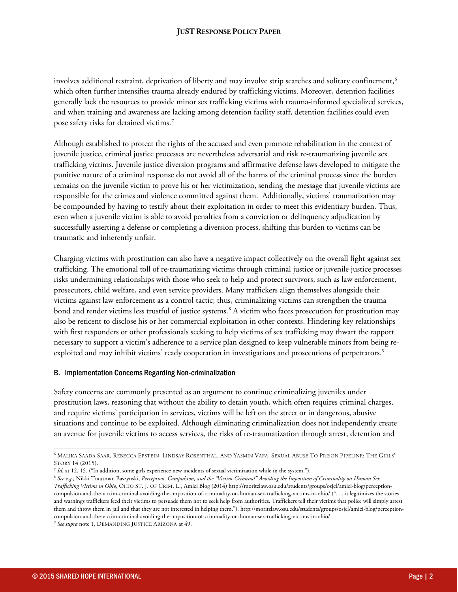#### **JUST RESPONSE POLICY PAPER**

involves additional restraint, deprivation of liberty and may involve strip searches and solitary confinement,<sup>[6](#page-2-0)</sup> which often further intensifies trauma already endured by trafficking victims. Moreover, detention facilities generally lack the resources to provide minor sex trafficking victims with trauma-informed specialized services, and when training and awareness are lacking among detention facility staff, detention facilities could even pose safety risks for detained victims.[7](#page-2-1)

Although established to protect the rights of the accused and even promote rehabilitation in the context of juvenile justice, criminal justice processes are nevertheless adversarial and risk re-traumatizing juvenile sex trafficking victims. Juvenile justice diversion programs and affirmative defense laws developed to mitigate the punitive nature of a criminal response do not avoid all of the harms of the criminal process since the burden remains on the juvenile victim to prove his or her victimization, sending the message that juvenile victims are responsible for the crimes and violence committed against them. Additionally, victims' traumatization may be compounded by having to testify about their exploitation in order to meet this evidentiary burden. Thus, even when a juvenile victim is able to avoid penalties from a conviction or delinquency adjudication by successfully asserting a defense or completing a diversion process, shifting this burden to victims can be traumatic and inherently unfair.

Charging victims with prostitution can also have a negative impact collectively on the overall fight against sex trafficking. The emotional toll of re-traumatizing victims through criminal justice or juvenile justice processes risks undermining relationships with those who seek to help and protect survivors, such as law enforcement, prosecutors, child welfare, and even service providers. Many traffickers align themselves alongside their victims against law enforcement as a control tactic; thus, criminalizing victims can strengthen the trauma bond and render victims less trustful of justice systems. [8](#page-2-2) A victim who faces prosecution for prostitution may also be reticent to disclose his or her commercial exploitation in other contexts. Hindering key relationships with first responders or other professionals seeking to help victims of sex trafficking may thwart the rapport necessary to support a victim's adherence to a service plan designed to keep vulnerable minors from being re-exploited and may inhibit victims' ready cooperation in investigations and prosecutions of perpetrators.<sup>[9](#page-2-3)</sup>

#### B. Implementation Concerns Regarding Non-criminalization

Safety concerns are commonly presented as an argument to continue criminalizing juveniles under prostitution laws, reasoning that without the ability to detain youth, which often requires criminal charges, and require victims' participation in services, victims will be left on the street or in dangerous, abusive situations and continue to be exploited. Although eliminating criminalization does not independently create an avenue for juvenile victims to access services, the risks of re-traumatization through arrest, detention and

<span id="page-2-0"></span> $\overline{\phantom{a}}$ <sup>6</sup> MALIKA SAADA SAAR, REBECCA EPSTEIN, LINDSAY ROSENTHAL, AND YASMIN VAFA, SEXUAL ABUSE TO PRISON PIPELINE: THE GIRLS' STORY 14 (2015).

<span id="page-2-1"></span><sup>7</sup> *Id.* at 12, 15. ("In addition, some girls experience new incidents of sexual victimization while in the system.").

<span id="page-2-2"></span><sup>8</sup> *See e.g.,* Nikki Trautman Baszynski, *Perception, Compulsion, and the "Victim-Criminal" Avoiding the Imposition of Criminality on Human Sex Trafficking Victims in Ohio*, OHIO ST. J. OF CRIM. L., Amici Blog (2014) http://moritzlaw.osu.edu/students/groups/osjcl/amici-blog/perceptioncompulsion-and-the-victim-criminal-avoiding-the-imposition-of-criminality-on-human-sex-trafficking-victims-in-ohio/ (". . . it legitimizes the stories and warnings traffickers feed their victims to persuade them not to seek help from authorities. Traffickers tell their victims that police will simply arrest them and throw them in jail and that they are not interested in helping them."). http://moritzlaw.osu.edu/students/groups/osjcl/amici-blog/perceptioncompulsion-and-the-victim-criminal-avoiding-the-imposition-of-criminality-on-human-sex-trafficking-victims-in-ohio/

<span id="page-2-3"></span><sup>9</sup> *See supra* not[e 1,](#page-1-5) DEMANDING JUSTICE ARIZONA at 49.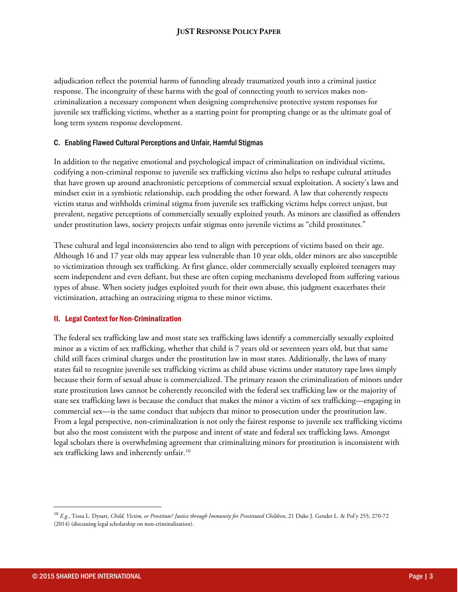#### **JUST RESPONSE POLICY PAPER**

adjudication reflect the potential harms of funneling already traumatized youth into a criminal justice response. The incongruity of these harms with the goal of connecting youth to services makes noncriminalization a necessary component when designing comprehensive protective system responses for juvenile sex trafficking victims, whether as a starting point for prompting change or as the ultimate goal of long term system response development.

#### C. Enabling Flawed Cultural Perceptions and Unfair, Harmful Stigmas

In addition to the negative emotional and psychological impact of criminalization on individual victims, codifying a non-criminal response to juvenile sex trafficking victims also helps to reshape cultural attitudes that have grown up around anachronistic perceptions of commercial sexual exploitation. A society's laws and mindset exist in a symbiotic relationship, each prodding the other forward. A law that coherently respects victim status and withholds criminal stigma from juvenile sex trafficking victims helps correct unjust, but prevalent, negative perceptions of commercially sexually exploited youth. As minors are classified as offenders under prostitution laws, society projects unfair stigmas onto juvenile victims as "child prostitutes."

These cultural and legal inconsistencies also tend to align with perceptions of victims based on their age. Although 16 and 17 year olds may appear less vulnerable than 10 year olds, older minors are also susceptible to victimization through sex trafficking. At first glance, older commercially sexually exploited teenagers may seem independent and even defiant, but these are often coping mechanisms developed from suffering various types of abuse. When society judges exploited youth for their own abuse, this judgment exacerbates their victimization, attaching an ostracizing stigma to these minor victims.

#### II. Legal Context for Non-Criminalization

The federal sex trafficking law and most state sex trafficking laws identify a commercially sexually exploited minor as a victim of sex trafficking, whether that child is 7 years old or seventeen years old, but that same child still faces criminal charges under the prostitution law in most states. Additionally, the laws of many states fail to recognize juvenile sex trafficking victims as child abuse victims under statutory rape laws simply because their form of sexual abuse is commercialized. The primary reason the criminalization of minors under state prostitution laws cannot be coherently reconciled with the federal sex trafficking law or the majority of state sex trafficking laws is because the conduct that makes the minor a victim of sex trafficking—engaging in commercial sex—is the same conduct that subjects that minor to prosecution under the prostitution law. From a legal perspective, non-criminalization is not only the fairest response to juvenile sex trafficking victims but also the most consistent with the purpose and intent of state and federal sex trafficking laws. Amongst legal scholars there is overwhelming agreement that criminalizing minors for prostitution is inconsistent with sex trafficking laws and inherently unfair.<sup>[10](#page-3-0)</sup>

l

<span id="page-3-0"></span><sup>10</sup> *E.g.*, Tessa L. Dysart, *Child, Victim, or Prostitute? Justice through Immunity for Prostituted Children*, 21 Duke J. Gender L. & Pol'y 255, 270-72 (2014) (discussing legal scholarship on non-criminalization).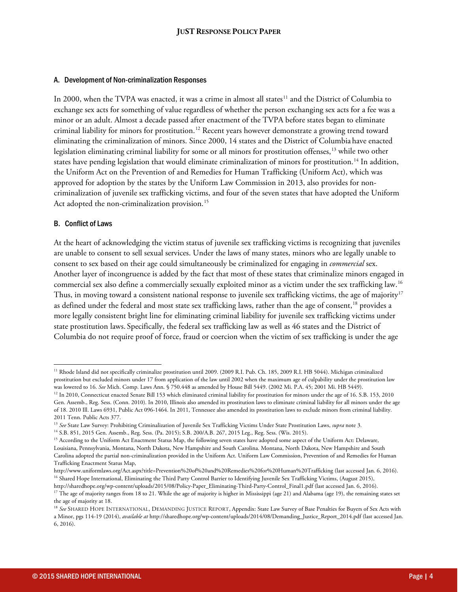#### A. Development of Non-criminalization Responses

In 2000, when the TVPA was enacted, it was a crime in almost all states<sup>[11](#page-4-0)</sup> and the District of Columbia to exchange sex acts for something of value regardless of whether the person exchanging sex acts for a fee was a minor or an adult. Almost a decade passed after enactment of the TVPA before states began to eliminate criminal liability for minors for prostitution.<sup>[12](#page-4-1)</sup> Recent years however demonstrate a growing trend toward eliminating the criminalization of minors. Since 2000, 14 states and the District of Columbia have enacted legislation eliminating criminal liability for some or all minors for prostitution offenses, [13](#page-4-2) while two other states have pending legislation that would eliminate criminalization of minors for prostitution.[14](#page-4-3) In addition, the Uniform Act on the Prevention of and Remedies for Human Trafficking (Uniform Act), which was approved for adoption by the states by the Uniform Law Commission in 2013, also provides for noncriminalization of juvenile sex trafficking victims, and four of the seven states that have adopted the Uniform Act adopted the non-criminalization provision.<sup>[15](#page-4-4)</sup>

#### B. Conflict of Laws

At the heart of acknowledging the victim status of juvenile sex trafficking victims is recognizing that juveniles are unable to consent to sell sexual services. Under the laws of many states, minors who are legally unable to consent to sex based on their age could simultaneously be criminalized for engaging in *commercial* sex. Another layer of incongruence is added by the fact that most of these states that criminalize minors engaged in commercial sex also define a commercially sexually exploited minor as a victim under the sex trafficking law.[16](#page-4-5) Thus, in moving toward a consistent national response to juvenile sex trafficking victims, the age of majority<sup>[17](#page-4-6)</sup> as defined under the federal and most state sex trafficking laws, rather than the age of consent, <sup>[18](#page-4-7)</sup> provides a more legally consistent bright line for eliminating criminal liability for juvenile sex trafficking victims under state prostitution laws. Specifically, the federal sex trafficking law as well as 46 states and the District of Columbia do not require proof of force, fraud or coercion when the victim of sex trafficking is under the age

http://sharedhope.org/wp-content/uploads/2015/08/Policy-Paper\_Eliminating-Third-Party-Control\_Final1.pdf (last accessed Jan. 6, 2016).

 $\overline{\phantom{a}}$ 

<span id="page-4-0"></span><sup>&</sup>lt;sup>11</sup> Rhode Island did not specifically criminalize prostitution until 2009. (2009 R.I. Pub. Ch. 185, 2009 R.I. HB 5044). Michigan criminalized prostitution but excluded minors under 17 from application of the law until 2002 when the maximum age of culpability under the prostitution law was lowered to 16. *See* Mich. Comp. Laws Ann. § 750.448 as amended by House Bill 5449. (2002 Mi. P.A. 45; 2001 Mi. HB 5449).

<span id="page-4-1"></span><sup>&</sup>lt;sup>12</sup> In 2010, Connecticut enacted Senate Bill 153 which eliminated criminal liability for prostitution for minors under the age of 16. S.B. 153, 2010 Gen. Assemb., Reg. Sess. (Conn. 2010). In 2010, Illinois also amended its prostitution laws to eliminate criminal liability for all minors under the age of 18. 2010 Ill. Laws 6931, Public Act 096-1464. In 2011, Tennessee also amended its prostitution laws to exclude minors from criminal liability. 2011 Tenn. Public Acts 377.

<span id="page-4-2"></span><sup>13</sup> *See* State Law Survey: Prohibiting Criminalization of Juvenile Sex Trafficking Victims Under State Prostitution Laws, *supra* not[e 3.](#page-1-6)

<span id="page-4-3"></span><sup>14</sup> S.B. 851, 2015 Gen. Assemb., Reg. Sess. (Pa. 2015); S.B. 200/A.B. 267, 2015 Leg., Reg. Sess. (Wis. 2015).

<span id="page-4-4"></span><sup>&</sup>lt;sup>15</sup> According to the Uniform Act Enactment Status Map, the following seven states have adopted some aspect of the Uniform Act: Delaware, Louisiana, Pennsylvania, Montana, North Dakota, New Hampshire and South Carolina. Montana, North Dakota, New Hampshire and South Carolina adopted the partial non-criminalization provided in the Uniform Act. Uniform Law Commission, Prevention of and Remedies for Human Trafficking Enactment Status Map,

<span id="page-4-5"></span>http://www.uniformlaws.org/Act.aspx?title=Prevention%20of%20and%20Remedies%20for%20Human%20Trafficking (last accessed Jan. 6, 2016). <sup>16</sup> Shared Hope International, Eliminating the Third Party Control Barrier to Identifying Juvenile Sex Trafficking Victims, (August 2015),

<span id="page-4-6"></span><sup>&</sup>lt;sup>17</sup> The age of majority ranges from 18 to 21. While the age of majority is higher in Mississippi (age 21) and Alabama (age 19), the remaining states set the age of majority at 18.

<span id="page-4-7"></span><sup>&</sup>lt;sup>18</sup> See SHARED HOPE INTERNATIONAL, DEMANDING JUSTICE REPORT, Appendix: State Law Survey of Base Penalties for Buyers of Sex Acts with a Minor, pgs 114-19 (2014), *available at* http://sharedhope.org/wp-content/uploads/2014/08/Demanding\_Justice\_Report\_2014.pdf (last accessed Jan.

<sup>6, 2016).</sup>